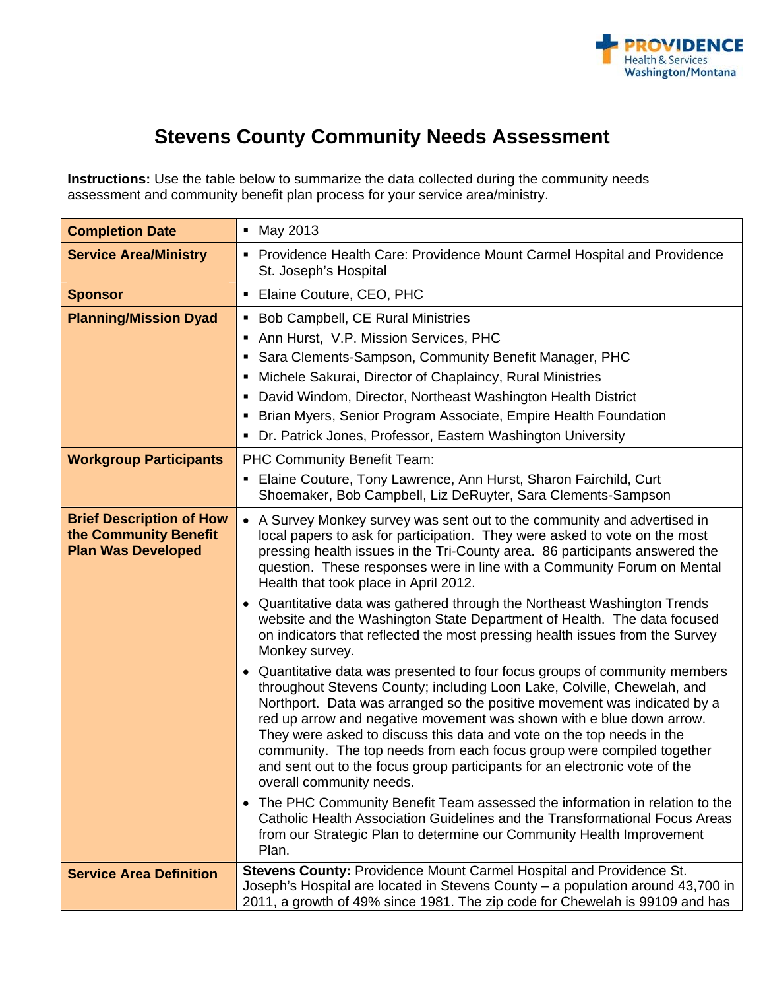

# **Stevens County Community Needs Assessment**

**Instructions:** Use the table below to summarize the data collected during the community needs assessment and community benefit plan process for your service area/ministry.

| <b>Completion Date</b>                                                                | • May 2013                                                                                                                                                                                                                                                                                                                                                                                                                                                                                                                                                                                                                                                                                                                                                                                                                                                                                                                                                                                                                                                                                                                                                                                                                                                                                                                                                                                                                                      |
|---------------------------------------------------------------------------------------|-------------------------------------------------------------------------------------------------------------------------------------------------------------------------------------------------------------------------------------------------------------------------------------------------------------------------------------------------------------------------------------------------------------------------------------------------------------------------------------------------------------------------------------------------------------------------------------------------------------------------------------------------------------------------------------------------------------------------------------------------------------------------------------------------------------------------------------------------------------------------------------------------------------------------------------------------------------------------------------------------------------------------------------------------------------------------------------------------------------------------------------------------------------------------------------------------------------------------------------------------------------------------------------------------------------------------------------------------------------------------------------------------------------------------------------------------|
| <b>Service Area/Ministry</b>                                                          | Providence Health Care: Providence Mount Carmel Hospital and Providence<br>St. Joseph's Hospital                                                                                                                                                                                                                                                                                                                                                                                                                                                                                                                                                                                                                                                                                                                                                                                                                                                                                                                                                                                                                                                                                                                                                                                                                                                                                                                                                |
| <b>Sponsor</b>                                                                        | • Elaine Couture, CEO, PHC                                                                                                                                                                                                                                                                                                                                                                                                                                                                                                                                                                                                                                                                                                                                                                                                                                                                                                                                                                                                                                                                                                                                                                                                                                                                                                                                                                                                                      |
| <b>Planning/Mission Dyad</b>                                                          | • Bob Campbell, CE Rural Ministries<br>Ann Hurst, V.P. Mission Services, PHC<br>Sara Clements-Sampson, Community Benefit Manager, PHC<br>٠<br>Michele Sakurai, Director of Chaplaincy, Rural Ministries<br>п                                                                                                                                                                                                                                                                                                                                                                                                                                                                                                                                                                                                                                                                                                                                                                                                                                                                                                                                                                                                                                                                                                                                                                                                                                    |
|                                                                                       | David Windom, Director, Northeast Washington Health District<br>Brian Myers, Senior Program Associate, Empire Health Foundation<br>٠                                                                                                                                                                                                                                                                                                                                                                                                                                                                                                                                                                                                                                                                                                                                                                                                                                                                                                                                                                                                                                                                                                                                                                                                                                                                                                            |
|                                                                                       | • Dr. Patrick Jones, Professor, Eastern Washington University                                                                                                                                                                                                                                                                                                                                                                                                                                                                                                                                                                                                                                                                                                                                                                                                                                                                                                                                                                                                                                                                                                                                                                                                                                                                                                                                                                                   |
| <b>Workgroup Participants</b>                                                         | PHC Community Benefit Team:<br>Elaine Couture, Tony Lawrence, Ann Hurst, Sharon Fairchild, Curt<br>Shoemaker, Bob Campbell, Liz DeRuyter, Sara Clements-Sampson                                                                                                                                                                                                                                                                                                                                                                                                                                                                                                                                                                                                                                                                                                                                                                                                                                                                                                                                                                                                                                                                                                                                                                                                                                                                                 |
| <b>Brief Description of How</b><br>the Community Benefit<br><b>Plan Was Developed</b> | • A Survey Monkey survey was sent out to the community and advertised in<br>local papers to ask for participation. They were asked to vote on the most<br>pressing health issues in the Tri-County area. 86 participants answered the<br>question. These responses were in line with a Community Forum on Mental<br>Health that took place in April 2012.<br>• Quantitative data was gathered through the Northeast Washington Trends<br>website and the Washington State Department of Health. The data focused<br>on indicators that reflected the most pressing health issues from the Survey<br>Monkey survey.<br>• Quantitative data was presented to four focus groups of community members<br>throughout Stevens County; including Loon Lake, Colville, Chewelah, and<br>Northport. Data was arranged so the positive movement was indicated by a<br>red up arrow and negative movement was shown with e blue down arrow.<br>They were asked to discuss this data and vote on the top needs in the<br>community. The top needs from each focus group were compiled together<br>and sent out to the focus group participants for an electronic vote of the<br>overall community needs.<br>The PHC Community Benefit Team assessed the information in relation to the<br>$\bullet$<br>Catholic Health Association Guidelines and the Transformational Focus Areas<br>from our Strategic Plan to determine our Community Health Improvement |
|                                                                                       | Plan.                                                                                                                                                                                                                                                                                                                                                                                                                                                                                                                                                                                                                                                                                                                                                                                                                                                                                                                                                                                                                                                                                                                                                                                                                                                                                                                                                                                                                                           |
| <b>Service Area Definition</b>                                                        | Stevens County: Providence Mount Carmel Hospital and Providence St.<br>Joseph's Hospital are located in Stevens County - a population around 43,700 in<br>2011, a growth of 49% since 1981. The zip code for Chewelah is 99109 and has                                                                                                                                                                                                                                                                                                                                                                                                                                                                                                                                                                                                                                                                                                                                                                                                                                                                                                                                                                                                                                                                                                                                                                                                          |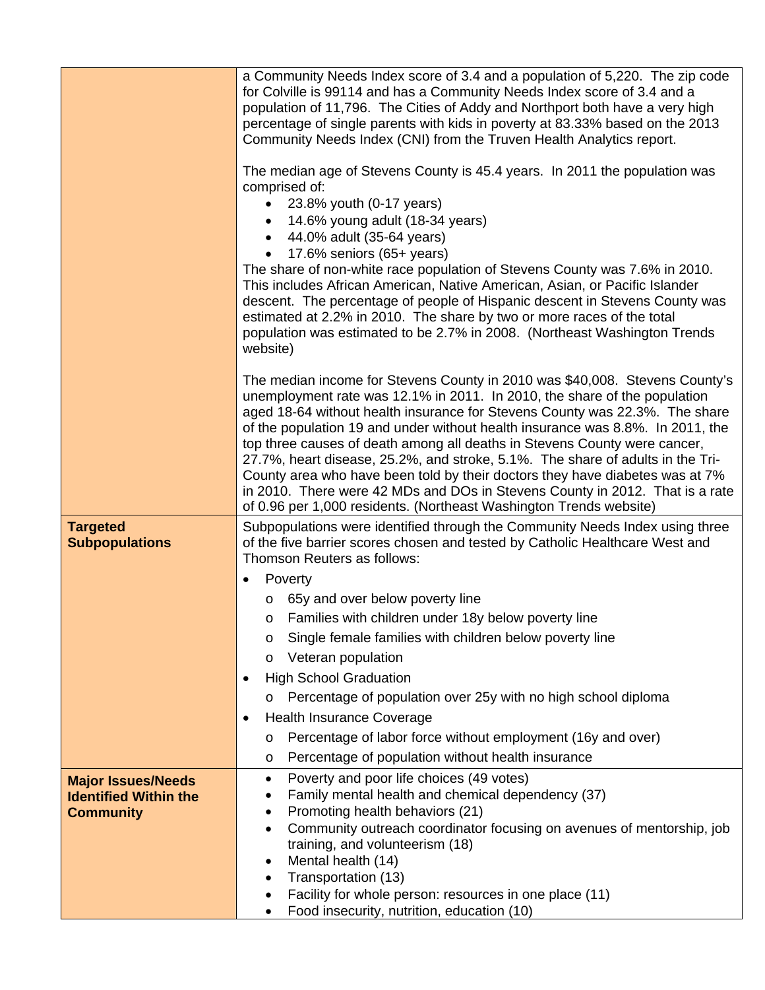|                                          | a Community Needs Index score of 3.4 and a population of 5,220. The zip code<br>for Colville is 99114 and has a Community Needs Index score of 3.4 and a<br>population of 11,796. The Cities of Addy and Northport both have a very high<br>percentage of single parents with kids in poverty at 83.33% based on the 2013<br>Community Needs Index (CNI) from the Truven Health Analytics report.<br>The median age of Stevens County is 45.4 years. In 2011 the population was<br>comprised of:<br>23.8% youth (0-17 years)<br>14.6% young adult (18-34 years)<br>44.0% adult (35-64 years)<br>17.6% seniors (65+ years)<br>The share of non-white race population of Stevens County was 7.6% in 2010.<br>This includes African American, Native American, Asian, or Pacific Islander<br>descent. The percentage of people of Hispanic descent in Stevens County was<br>estimated at 2.2% in 2010. The share by two or more races of the total<br>population was estimated to be 2.7% in 2008. (Northeast Washington Trends |  |  |  |  |
|------------------------------------------|------------------------------------------------------------------------------------------------------------------------------------------------------------------------------------------------------------------------------------------------------------------------------------------------------------------------------------------------------------------------------------------------------------------------------------------------------------------------------------------------------------------------------------------------------------------------------------------------------------------------------------------------------------------------------------------------------------------------------------------------------------------------------------------------------------------------------------------------------------------------------------------------------------------------------------------------------------------------------------------------------------------------------|--|--|--|--|
|                                          | website)<br>The median income for Stevens County in 2010 was \$40,008. Stevens County's<br>unemployment rate was 12.1% in 2011. In 2010, the share of the population<br>aged 18-64 without health insurance for Stevens County was 22.3%. The share<br>of the population 19 and under without health insurance was 8.8%. In 2011, the<br>top three causes of death among all deaths in Stevens County were cancer,<br>27.7%, heart disease, 25.2%, and stroke, 5.1%. The share of adults in the Tri-<br>County area who have been told by their doctors they have diabetes was at 7%<br>in 2010. There were 42 MDs and DOs in Stevens County in 2012. That is a rate<br>of 0.96 per 1,000 residents. (Northeast Washington Trends website)                                                                                                                                                                                                                                                                                   |  |  |  |  |
| <b>Targeted</b><br><b>Subpopulations</b> | Subpopulations were identified through the Community Needs Index using three<br>of the five barrier scores chosen and tested by Catholic Healthcare West and<br>Thomson Reuters as follows:                                                                                                                                                                                                                                                                                                                                                                                                                                                                                                                                                                                                                                                                                                                                                                                                                                  |  |  |  |  |
|                                          | Poverty                                                                                                                                                                                                                                                                                                                                                                                                                                                                                                                                                                                                                                                                                                                                                                                                                                                                                                                                                                                                                      |  |  |  |  |
|                                          | o 65y and over below poverty line                                                                                                                                                                                                                                                                                                                                                                                                                                                                                                                                                                                                                                                                                                                                                                                                                                                                                                                                                                                            |  |  |  |  |
|                                          | o Families with children under 18y below poverty line                                                                                                                                                                                                                                                                                                                                                                                                                                                                                                                                                                                                                                                                                                                                                                                                                                                                                                                                                                        |  |  |  |  |
|                                          | Single female families with children below poverty line<br>O                                                                                                                                                                                                                                                                                                                                                                                                                                                                                                                                                                                                                                                                                                                                                                                                                                                                                                                                                                 |  |  |  |  |
|                                          | Veteran population<br>O                                                                                                                                                                                                                                                                                                                                                                                                                                                                                                                                                                                                                                                                                                                                                                                                                                                                                                                                                                                                      |  |  |  |  |
|                                          | <b>High School Graduation</b><br>$\bullet$                                                                                                                                                                                                                                                                                                                                                                                                                                                                                                                                                                                                                                                                                                                                                                                                                                                                                                                                                                                   |  |  |  |  |
|                                          | Percentage of population over 25y with no high school diploma<br>O                                                                                                                                                                                                                                                                                                                                                                                                                                                                                                                                                                                                                                                                                                                                                                                                                                                                                                                                                           |  |  |  |  |
|                                          | <b>Health Insurance Coverage</b><br>$\bullet$                                                                                                                                                                                                                                                                                                                                                                                                                                                                                                                                                                                                                                                                                                                                                                                                                                                                                                                                                                                |  |  |  |  |
|                                          | Percentage of labor force without employment (16y and over)<br>O                                                                                                                                                                                                                                                                                                                                                                                                                                                                                                                                                                                                                                                                                                                                                                                                                                                                                                                                                             |  |  |  |  |
|                                          | Percentage of population without health insurance<br>O                                                                                                                                                                                                                                                                                                                                                                                                                                                                                                                                                                                                                                                                                                                                                                                                                                                                                                                                                                       |  |  |  |  |
| <b>Major Issues/Needs</b>                | Poverty and poor life choices (49 votes)<br>$\bullet$                                                                                                                                                                                                                                                                                                                                                                                                                                                                                                                                                                                                                                                                                                                                                                                                                                                                                                                                                                        |  |  |  |  |
| <b>Identified Within the</b>             | Family mental health and chemical dependency (37)<br>Promoting health behaviors (21)                                                                                                                                                                                                                                                                                                                                                                                                                                                                                                                                                                                                                                                                                                                                                                                                                                                                                                                                         |  |  |  |  |
| <b>Community</b>                         | Community outreach coordinator focusing on avenues of mentorship, job                                                                                                                                                                                                                                                                                                                                                                                                                                                                                                                                                                                                                                                                                                                                                                                                                                                                                                                                                        |  |  |  |  |
|                                          | training, and volunteerism (18)                                                                                                                                                                                                                                                                                                                                                                                                                                                                                                                                                                                                                                                                                                                                                                                                                                                                                                                                                                                              |  |  |  |  |
|                                          | Mental health (14)<br>$\bullet$                                                                                                                                                                                                                                                                                                                                                                                                                                                                                                                                                                                                                                                                                                                                                                                                                                                                                                                                                                                              |  |  |  |  |
|                                          | Transportation (13)                                                                                                                                                                                                                                                                                                                                                                                                                                                                                                                                                                                                                                                                                                                                                                                                                                                                                                                                                                                                          |  |  |  |  |
|                                          | Facility for whole person: resources in one place (11)<br>$\bullet$<br>Food insecurity, nutrition, education (10)                                                                                                                                                                                                                                                                                                                                                                                                                                                                                                                                                                                                                                                                                                                                                                                                                                                                                                            |  |  |  |  |
|                                          |                                                                                                                                                                                                                                                                                                                                                                                                                                                                                                                                                                                                                                                                                                                                                                                                                                                                                                                                                                                                                              |  |  |  |  |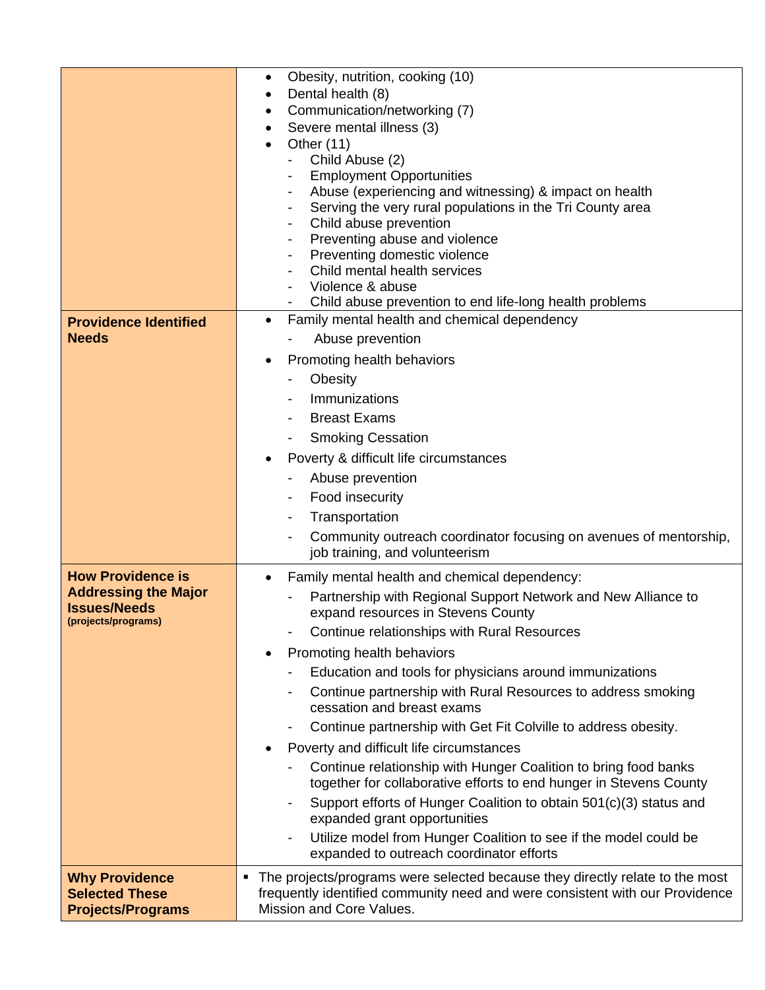|                                                                                                       | Obesity, nutrition, cooking (10)<br>٠<br>Dental health (8)<br>٠<br>Communication/networking (7)<br>٠<br>Severe mental illness (3)<br>Other $(11)$<br>Child Abuse (2)<br><b>Employment Opportunities</b><br>Abuse (experiencing and witnessing) & impact on health<br>Serving the very rural populations in the Tri County area<br>Child abuse prevention<br>٠<br>Preventing abuse and violence<br>$\overline{\phantom{a}}$<br>Preventing domestic violence<br>$\overline{\phantom{a}}$<br>Child mental health services<br>Violence & abuse                                                                                                                                                                                                                                                                                                                                                                                              |
|-------------------------------------------------------------------------------------------------------|-----------------------------------------------------------------------------------------------------------------------------------------------------------------------------------------------------------------------------------------------------------------------------------------------------------------------------------------------------------------------------------------------------------------------------------------------------------------------------------------------------------------------------------------------------------------------------------------------------------------------------------------------------------------------------------------------------------------------------------------------------------------------------------------------------------------------------------------------------------------------------------------------------------------------------------------|
| <b>Providence Identified</b><br><b>Needs</b>                                                          | Child abuse prevention to end life-long health problems<br>Family mental health and chemical dependency<br>$\bullet$<br>Abuse prevention<br>Promoting health behaviors<br>$\bullet$<br>Obesity<br>Immunizations<br>$\overline{\phantom{a}}$<br><b>Breast Exams</b><br><b>Smoking Cessation</b><br>$\blacksquare$<br>Poverty & difficult life circumstances<br>Abuse prevention<br>Food insecurity<br>Transportation<br>Community outreach coordinator focusing on avenues of mentorship,<br>job training, and volunteerism                                                                                                                                                                                                                                                                                                                                                                                                              |
| <b>How Providence is</b><br><b>Addressing the Major</b><br><b>Issues/Needs</b><br>(projects/programs) | Family mental health and chemical dependency:<br>Partnership with Regional Support Network and New Alliance to<br>expand resources in Stevens County<br>Continue relationships with Rural Resources<br>Promoting health behaviors<br>$\bullet$<br>Education and tools for physicians around immunizations<br>Continue partnership with Rural Resources to address smoking<br>$\blacksquare$<br>cessation and breast exams<br>Continue partnership with Get Fit Colville to address obesity.<br>Poverty and difficult life circumstances<br>٠<br>Continue relationship with Hunger Coalition to bring food banks<br>together for collaborative efforts to end hunger in Stevens County<br>Support efforts of Hunger Coalition to obtain 501(c)(3) status and<br>expanded grant opportunities<br>Utilize model from Hunger Coalition to see if the model could be<br>$\overline{\phantom{a}}$<br>expanded to outreach coordinator efforts |
| <b>Why Providence</b><br><b>Selected These</b><br><b>Projects/Programs</b>                            | The projects/programs were selected because they directly relate to the most<br>٠<br>frequently identified community need and were consistent with our Providence<br>Mission and Core Values.                                                                                                                                                                                                                                                                                                                                                                                                                                                                                                                                                                                                                                                                                                                                           |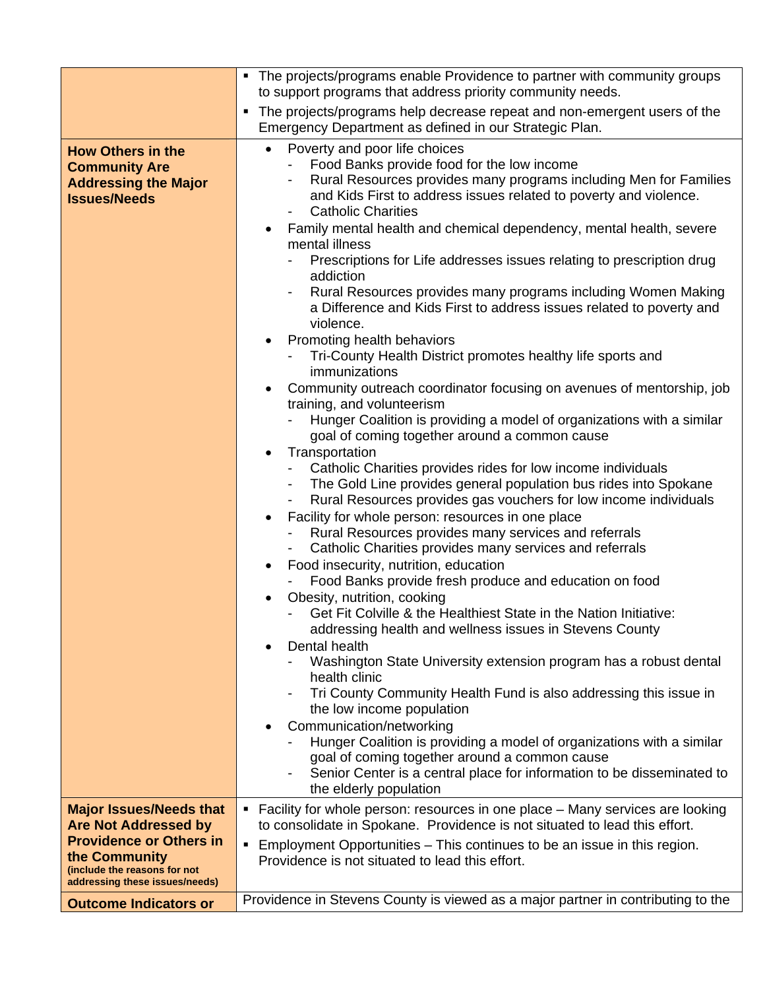|                                                                                                                   | • The projects/programs enable Providence to partner with community groups<br>to support programs that address priority community needs.                                                                                                                                                                                                                                                                                                                                                                                                                                                                                                                                                                                                                                                                                                                                                                                                                                                                                                                                                                                                                                                                                                                                                                                                                                                                                                                                                                                                                                                                                                                                                                                                                                                                                                                                                                                                                                                                                                                                                                                                |  |  |  |  |
|-------------------------------------------------------------------------------------------------------------------|-----------------------------------------------------------------------------------------------------------------------------------------------------------------------------------------------------------------------------------------------------------------------------------------------------------------------------------------------------------------------------------------------------------------------------------------------------------------------------------------------------------------------------------------------------------------------------------------------------------------------------------------------------------------------------------------------------------------------------------------------------------------------------------------------------------------------------------------------------------------------------------------------------------------------------------------------------------------------------------------------------------------------------------------------------------------------------------------------------------------------------------------------------------------------------------------------------------------------------------------------------------------------------------------------------------------------------------------------------------------------------------------------------------------------------------------------------------------------------------------------------------------------------------------------------------------------------------------------------------------------------------------------------------------------------------------------------------------------------------------------------------------------------------------------------------------------------------------------------------------------------------------------------------------------------------------------------------------------------------------------------------------------------------------------------------------------------------------------------------------------------------------|--|--|--|--|
|                                                                                                                   | The projects/programs help decrease repeat and non-emergent users of the<br>٠                                                                                                                                                                                                                                                                                                                                                                                                                                                                                                                                                                                                                                                                                                                                                                                                                                                                                                                                                                                                                                                                                                                                                                                                                                                                                                                                                                                                                                                                                                                                                                                                                                                                                                                                                                                                                                                                                                                                                                                                                                                           |  |  |  |  |
|                                                                                                                   | Emergency Department as defined in our Strategic Plan.                                                                                                                                                                                                                                                                                                                                                                                                                                                                                                                                                                                                                                                                                                                                                                                                                                                                                                                                                                                                                                                                                                                                                                                                                                                                                                                                                                                                                                                                                                                                                                                                                                                                                                                                                                                                                                                                                                                                                                                                                                                                                  |  |  |  |  |
| <b>How Others in the</b><br><b>Community Are</b><br><b>Addressing the Major</b><br><b>Issues/Needs</b>            | Poverty and poor life choices<br>$\bullet$<br>Food Banks provide food for the low income<br>$\sim$<br>Rural Resources provides many programs including Men for Families<br>and Kids First to address issues related to poverty and violence.<br><b>Catholic Charities</b><br>Family mental health and chemical dependency, mental health, severe<br>mental illness<br>Prescriptions for Life addresses issues relating to prescription drug<br>addiction<br>Rural Resources provides many programs including Women Making<br>$\overline{\phantom{a}}$<br>a Difference and Kids First to address issues related to poverty and<br>violence.<br>Promoting health behaviors<br>Tri-County Health District promotes healthy life sports and<br>immunizations<br>Community outreach coordinator focusing on avenues of mentorship, job<br>training, and volunteerism<br>Hunger Coalition is providing a model of organizations with a similar<br>goal of coming together around a common cause<br>Transportation<br>Catholic Charities provides rides for low income individuals<br>- The Gold Line provides general population bus rides into Spokane<br>Rural Resources provides gas vouchers for low income individuals<br>$\blacksquare$<br>Facility for whole person: resources in one place<br>Rural Resources provides many services and referrals<br>Catholic Charities provides many services and referrals<br>Food insecurity, nutrition, education<br>Food Banks provide fresh produce and education on food<br>Obesity, nutrition, cooking<br>Get Fit Colville & the Healthiest State in the Nation Initiative:<br>addressing health and wellness issues in Stevens County<br>Dental health<br>$\bullet$<br>Washington State University extension program has a robust dental<br>health clinic<br>Tri County Community Health Fund is also addressing this issue in<br>the low income population<br>Communication/networking<br>Hunger Coalition is providing a model of organizations with a similar<br>goal of coming together around a common cause<br>Senior Center is a central place for information to be disseminated to |  |  |  |  |
| <b>Major Issues/Needs that</b>                                                                                    | the elderly population<br>• Facility for whole person: resources in one place - Many services are looking                                                                                                                                                                                                                                                                                                                                                                                                                                                                                                                                                                                                                                                                                                                                                                                                                                                                                                                                                                                                                                                                                                                                                                                                                                                                                                                                                                                                                                                                                                                                                                                                                                                                                                                                                                                                                                                                                                                                                                                                                               |  |  |  |  |
| <b>Are Not Addressed by</b>                                                                                       | to consolidate in Spokane. Providence is not situated to lead this effort.                                                                                                                                                                                                                                                                                                                                                                                                                                                                                                                                                                                                                                                                                                                                                                                                                                                                                                                                                                                                                                                                                                                                                                                                                                                                                                                                                                                                                                                                                                                                                                                                                                                                                                                                                                                                                                                                                                                                                                                                                                                              |  |  |  |  |
| <b>Providence or Others in</b><br>the Community<br>(include the reasons for not<br>addressing these issues/needs) | Employment Opportunities – This continues to be an issue in this region.<br>٠<br>Providence is not situated to lead this effort.                                                                                                                                                                                                                                                                                                                                                                                                                                                                                                                                                                                                                                                                                                                                                                                                                                                                                                                                                                                                                                                                                                                                                                                                                                                                                                                                                                                                                                                                                                                                                                                                                                                                                                                                                                                                                                                                                                                                                                                                        |  |  |  |  |
| <b>Outcome Indicators or</b>                                                                                      | Providence in Stevens County is viewed as a major partner in contributing to the                                                                                                                                                                                                                                                                                                                                                                                                                                                                                                                                                                                                                                                                                                                                                                                                                                                                                                                                                                                                                                                                                                                                                                                                                                                                                                                                                                                                                                                                                                                                                                                                                                                                                                                                                                                                                                                                                                                                                                                                                                                        |  |  |  |  |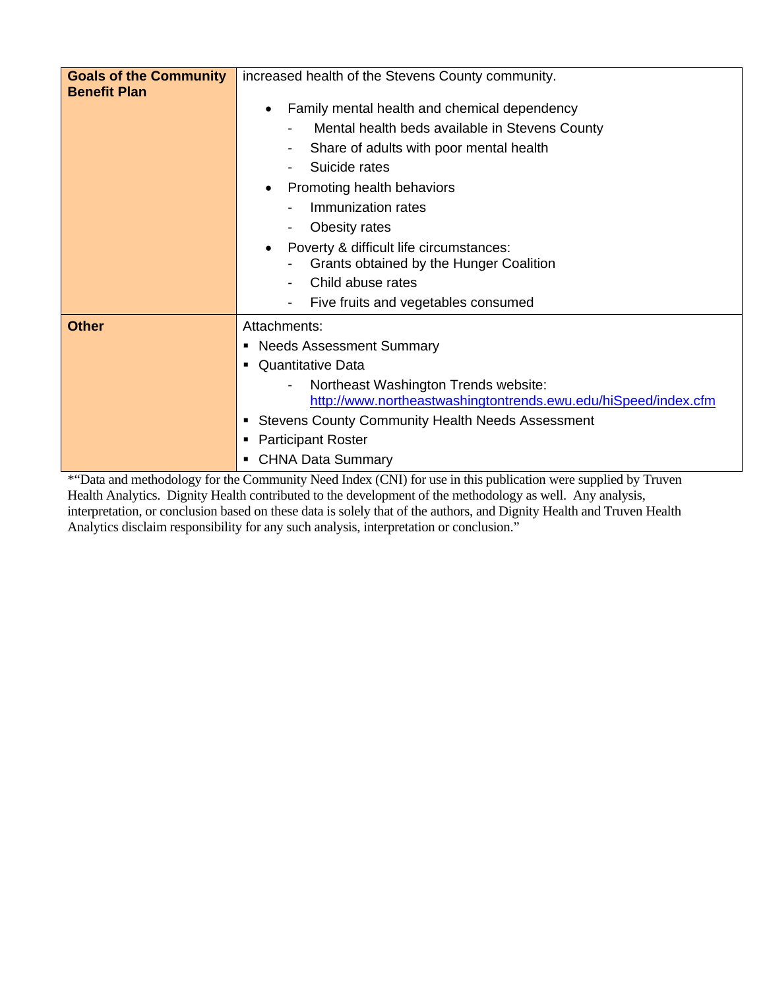| <b>Goals of the Community</b><br><b>Benefit Plan</b> | increased health of the Stevens County community.                                                      |  |  |  |
|------------------------------------------------------|--------------------------------------------------------------------------------------------------------|--|--|--|
|                                                      | Family mental health and chemical dependency<br>$\bullet$                                              |  |  |  |
|                                                      | Mental health beds available in Stevens County                                                         |  |  |  |
|                                                      | Share of adults with poor mental health                                                                |  |  |  |
|                                                      | Suicide rates                                                                                          |  |  |  |
|                                                      | Promoting health behaviors                                                                             |  |  |  |
|                                                      | Immunization rates                                                                                     |  |  |  |
|                                                      | Obesity rates                                                                                          |  |  |  |
|                                                      | Poverty & difficult life circumstances:                                                                |  |  |  |
|                                                      | Grants obtained by the Hunger Coalition                                                                |  |  |  |
|                                                      | Child abuse rates                                                                                      |  |  |  |
|                                                      | Five fruits and vegetables consumed                                                                    |  |  |  |
| <b>Other</b>                                         | Attachments:                                                                                           |  |  |  |
|                                                      | <b>Needs Assessment Summary</b><br>٠                                                                   |  |  |  |
|                                                      | <b>Quantitative Data</b><br>٠                                                                          |  |  |  |
|                                                      | Northeast Washington Trends website:<br>http://www.northeastwashingtontrends.ewu.edu/hiSpeed/index.cfm |  |  |  |
|                                                      | • Stevens County Community Health Needs Assessment                                                     |  |  |  |
|                                                      | <b>Participant Roster</b>                                                                              |  |  |  |
|                                                      | <b>CHNA Data Summary</b>                                                                               |  |  |  |

\*"Data and methodology for the Community Need Index (CNI) for use in this publication were supplied by Truven Health Analytics. Dignity Health contributed to the development of the methodology as well. Any analysis, interpretation, or conclusion based on these data is solely that of the authors, and Dignity Health and Truven Health Analytics disclaim responsibility for any such analysis, interpretation or conclusion."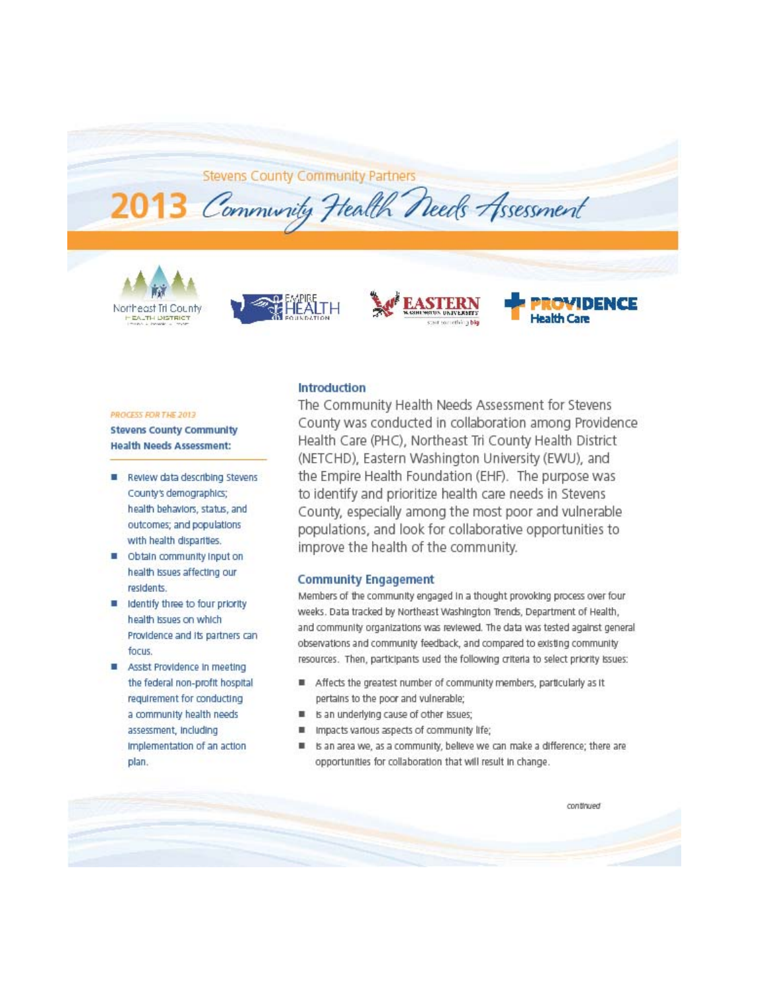**Stevens County Community Partners** 

2013 Community Health Needs Assessment







## DENCE **Health Care**

#### PROCESS FOR THE 2013

**Stevens County Community Health Needs Assessment:** 

- Review data describing Stevens County's demographics; health behaviors, status, and outcomes; and populations with health disparities.
- Obtain community input on health issues affecting our residents.
- Identify three to four priority health issues on which Providence and its partners can focus.
- Assist Providence in meeting the federal non-profit hospital requirement for conducting a community health needs assessment, Including Implementation of an action plan.

#### **Introduction**

The Community Health Needs Assessment for Stevens County was conducted in collaboration among Providence Health Care (PHC), Northeast Tri County Health District (NETCHD), Eastern Washington University (EWU), and the Empire Health Foundation (EHF). The purpose was to identify and prioritize health care needs in Stevens County, especially among the most poor and vulnerable populations, and look for collaborative opportunities to improve the health of the community.

#### **Community Engagement**

Members of the community engaged in a thought provoking process over four weeks. Data tracked by Northeast Washington Trends, Department of Health, and community organizations was reviewed. The data was tested against general observations and community feedback, and compared to existing community resources. Then, participants used the following criteria to select priority issues:

- ٠ Affects the greatest number of community members, particularly as it pertains to the poor and vulnerable;
- Is an underlying cause of other issues; ш
- ш Impacts various aspects of community life;
- Is an area we, as a community, believe we can make a difference; there are opportunities for collaboration that will result in change.

continued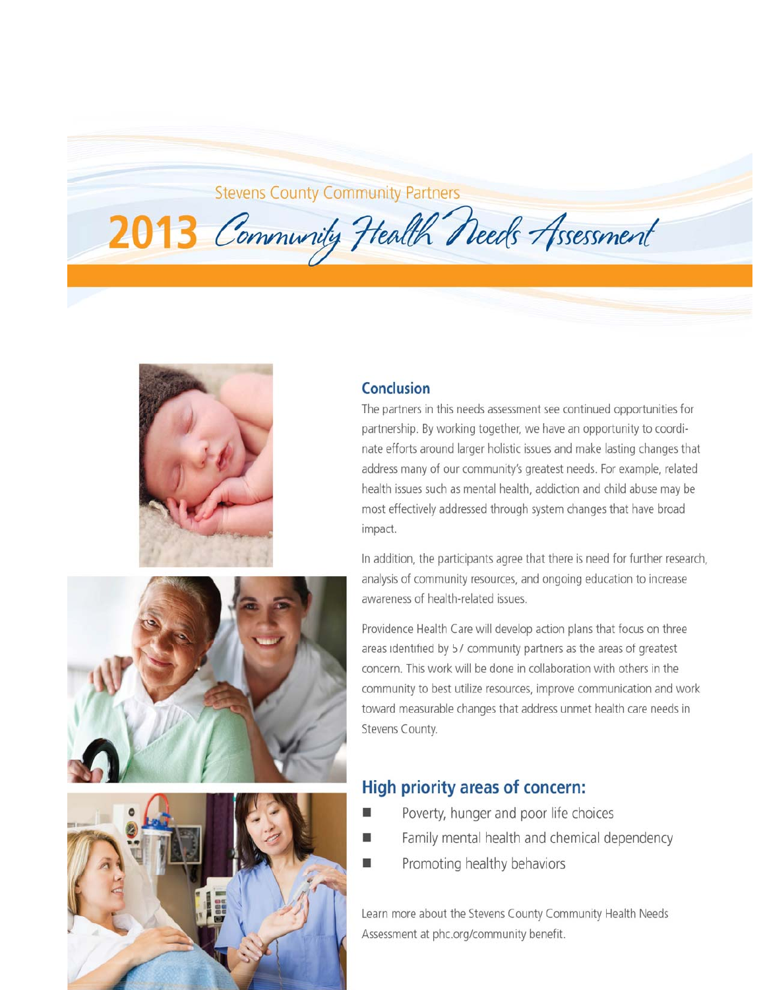## **Stevens County Community Partners**







#### Conclusion

2013 Community Health Needs Assessment

The partners in this needs assessment see continued opportunities for partnership. By working together, we have an opportunity to coordinate efforts around larger holistic issues and make lasting changes that address many of our community's greatest needs. For example, related health issues such as mental health, addiction and child abuse may be most effectively addressed through system changes that have broad impact.

In addition, the participants agree that there is need for further research, analysis of community resources, and ongoing education to increase awareness of health-related issues.

Providence Health Care will develop action plans that focus on three areas identified by 57 community partners as the areas of greatest concern. This work will be done in collaboration with others in the community to best utilize resources, improve communication and work toward measurable changes that address unmet health care needs in Stevens County.

## **High priority areas of concern:**

- Poverty, hunger and poor life choices
- Family mental health and chemical dependency
- Promoting healthy behaviors

Learn more about the Stevens County Community Health Needs Assessment at phc.org/community benefit.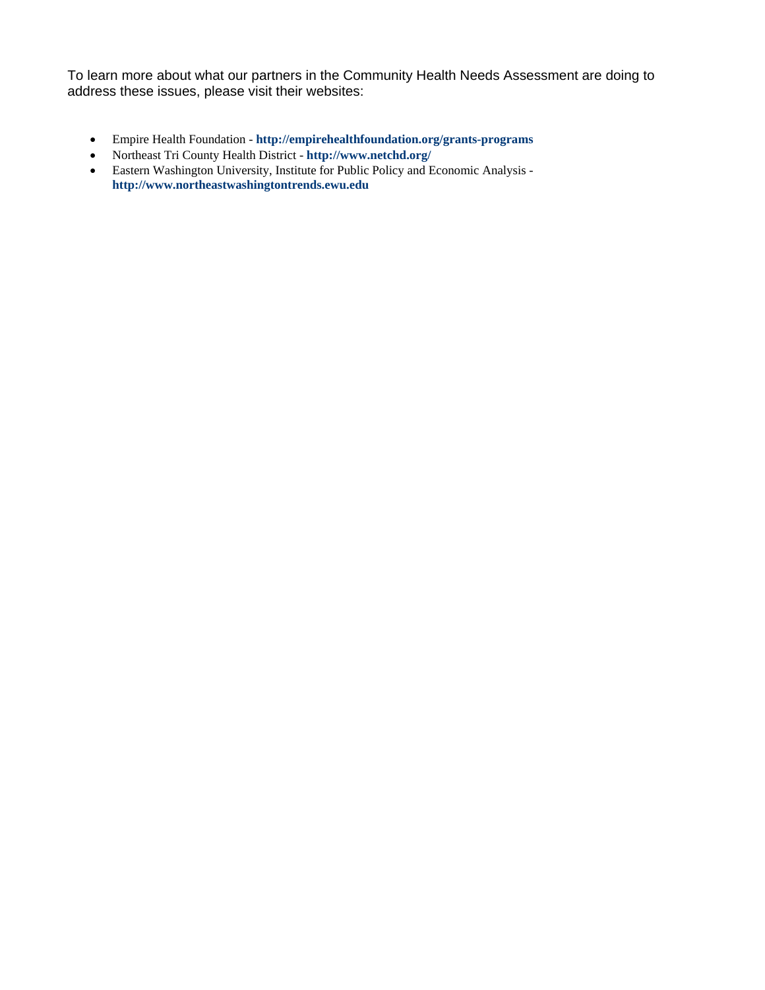To learn more about what our partners in the Community Health Needs Assessment are doing to address these issues, please visit their websites:

- Empire Health Foundation **http://empirehealthfoundation.org/grants-programs**
- Northeast Tri County Health District **http://www.netchd.org/**
- Eastern Washington University, Institute for Public Policy and Economic Analysis **http://www.northeastwashingtontrends.ewu.edu**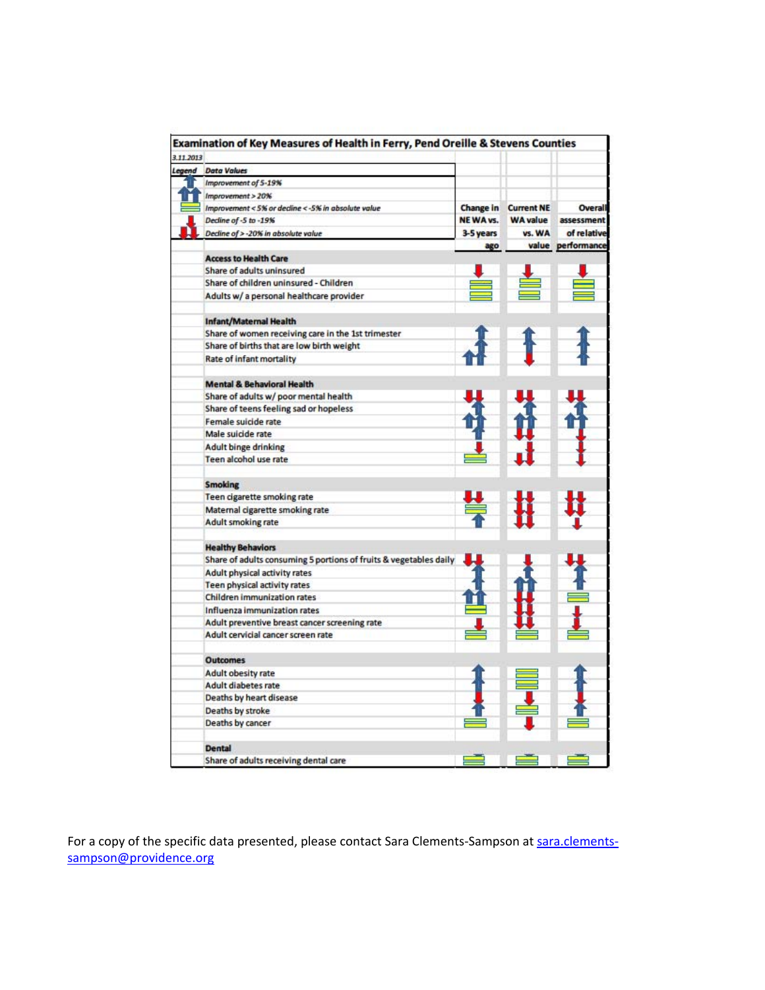| 3.11.2013 |                                                                   |           |                   |                   |
|-----------|-------------------------------------------------------------------|-----------|-------------------|-------------------|
|           | Legend Data Values                                                |           |                   |                   |
|           | Improvement of 5-19%                                              |           |                   |                   |
|           | Improvement > 20%                                                 |           |                   |                   |
|           | Improvement < 5% or decline < - 5% in absolute value              | Change in | <b>Current NE</b> | Overall           |
|           | Decline of -5 to -19%                                             | NEWA vs.  | <b>WA value</b>   | assessment        |
|           | Decline of > -20% in absolute value                               | 3-5 years | vs. WA            | of relative       |
|           |                                                                   | ago       |                   | value performance |
|           | <b>Access to Health Care</b>                                      |           |                   |                   |
|           | Share of adults uninsured                                         |           |                   |                   |
|           | Share of children uninsured - Children                            |           |                   |                   |
|           | Adults w/ a personal healthcare provider                          |           |                   |                   |
|           | <b>Infant/Maternal Health</b>                                     |           |                   |                   |
|           | Share of women receiving care in the 1st trimester                |           |                   |                   |
|           | Share of births that are low birth weight                         |           |                   |                   |
|           | Rate of infant mortality                                          |           |                   |                   |
|           | <b>Mental &amp; Behavioral Health</b>                             |           |                   |                   |
|           | Share of adults w/ poor mental health                             |           |                   |                   |
|           | Share of teens feeling sad or hopeless                            |           |                   |                   |
|           | Female suicide rate                                               |           |                   |                   |
|           | Male suicide rate                                                 |           |                   |                   |
|           | <b>Adult binge drinking</b>                                       |           |                   |                   |
|           | Teen alcohol use rate                                             |           |                   |                   |
|           |                                                                   |           |                   |                   |
|           | <b>Smoking</b>                                                    |           |                   |                   |
|           | Teen cigarette smoking rate                                       |           |                   |                   |
|           | Maternal cigarette smoking rate                                   |           |                   |                   |
|           | Adult smoking rate                                                |           |                   |                   |
|           | <b>Healthy Behaviors</b>                                          |           |                   |                   |
|           | Share of adults consuming 5 portions of fruits & vegetables daily |           |                   |                   |
|           | Adult physical activity rates                                     |           |                   |                   |
|           | Teen physical activity rates                                      |           |                   |                   |
|           | <b>Children immunization rates</b>                                |           |                   |                   |
|           | Influenza immunization rates                                      |           |                   |                   |
|           | Adult preventive breast cancer screening rate                     |           |                   |                   |
|           | Adult cervicial cancer screen rate                                |           |                   |                   |
|           | <b>Outcomes</b>                                                   |           |                   |                   |
|           | <b>Adult obesity rate</b>                                         |           |                   |                   |
|           | Adult diabetes rate                                               |           |                   |                   |
|           | Deaths by heart disease                                           |           |                   |                   |
|           | Deaths by stroke                                                  |           |                   |                   |
|           | Deaths by cancer                                                  |           |                   |                   |
|           |                                                                   |           |                   |                   |
|           | <b>Dental</b>                                                     |           |                   |                   |
|           | Share of adults receiving dental care                             |           |                   |                   |

For a copy of the specific data presented, please contact Sara Clements-Sampson at sara.clementssampson@providence.org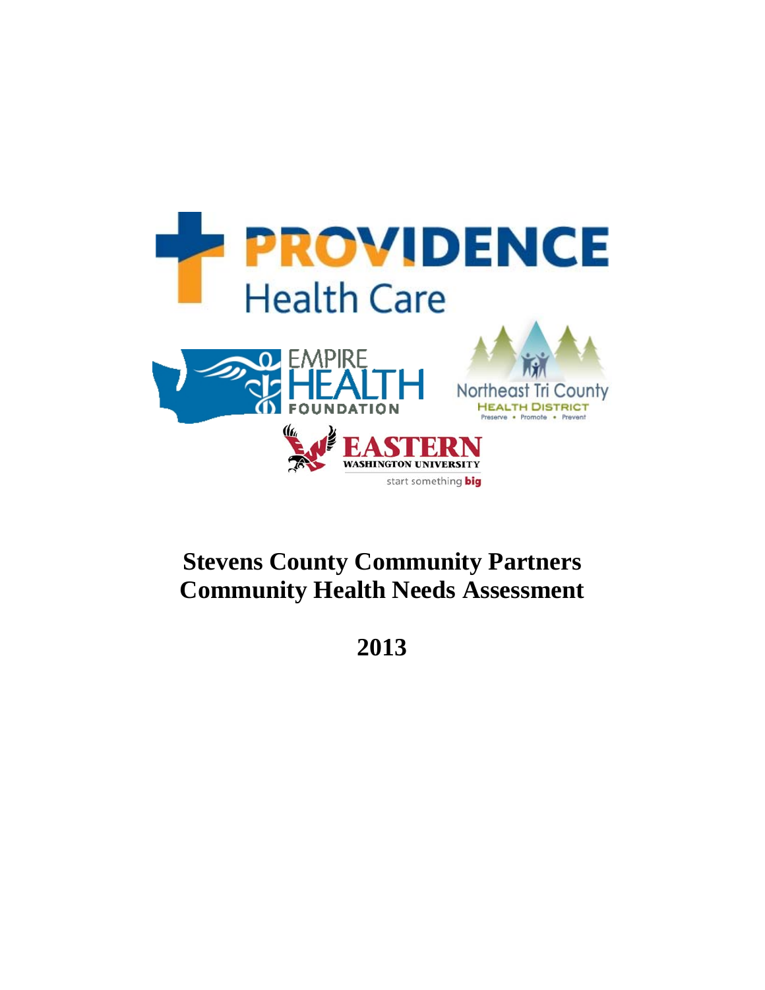

# **Stevens County Community Partners Community Health Needs Assessment**

**2013**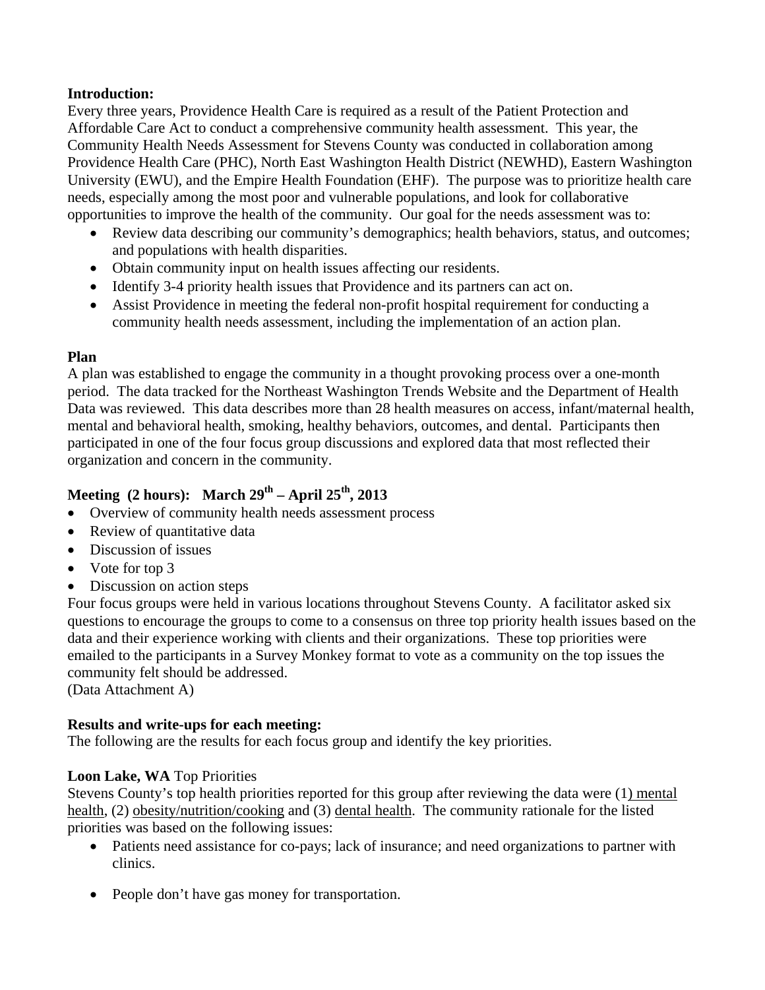#### **Introduction:**

Every three years, Providence Health Care is required as a result of the Patient Protection and Affordable Care Act to conduct a comprehensive community health assessment. This year, the Community Health Needs Assessment for Stevens County was conducted in collaboration among Providence Health Care (PHC), North East Washington Health District (NEWHD), Eastern Washington University (EWU), and the Empire Health Foundation (EHF). The purpose was to prioritize health care needs, especially among the most poor and vulnerable populations, and look for collaborative opportunities to improve the health of the community. Our goal for the needs assessment was to:

- Review data describing our community's demographics; health behaviors, status, and outcomes; and populations with health disparities.
- Obtain community input on health issues affecting our residents.
- Identify 3-4 priority health issues that Providence and its partners can act on.
- Assist Providence in meeting the federal non-profit hospital requirement for conducting a community health needs assessment, including the implementation of an action plan.

#### **Plan**

A plan was established to engage the community in a thought provoking process over a one-month period. The data tracked for the Northeast Washington Trends Website and the Department of Health Data was reviewed. This data describes more than 28 health measures on access, infant/maternal health, mental and behavioral health, smoking, healthy behaviors, outcomes, and dental. Participants then participated in one of the four focus group discussions and explored data that most reflected their organization and concern in the community.

### **Meeting (2 hours): March 29th – April 25th, 2013**

- Overview of community health needs assessment process
- Review of quantitative data
- Discussion of issues
- Vote for top 3
- Discussion on action steps

Four focus groups were held in various locations throughout Stevens County. A facilitator asked six questions to encourage the groups to come to a consensus on three top priority health issues based on the data and their experience working with clients and their organizations. These top priorities were emailed to the participants in a Survey Monkey format to vote as a community on the top issues the community felt should be addressed.

(Data Attachment A)

#### **Results and write-ups for each meeting:**

The following are the results for each focus group and identify the key priorities.

#### **Loon Lake, WA** Top Priorities

Stevens County's top health priorities reported for this group after reviewing the data were (1) mental health, (2) obesity/nutrition/cooking and (3) dental health. The community rationale for the listed priorities was based on the following issues:

- Patients need assistance for co-pays; lack of insurance; and need organizations to partner with clinics.
- People don't have gas money for transportation.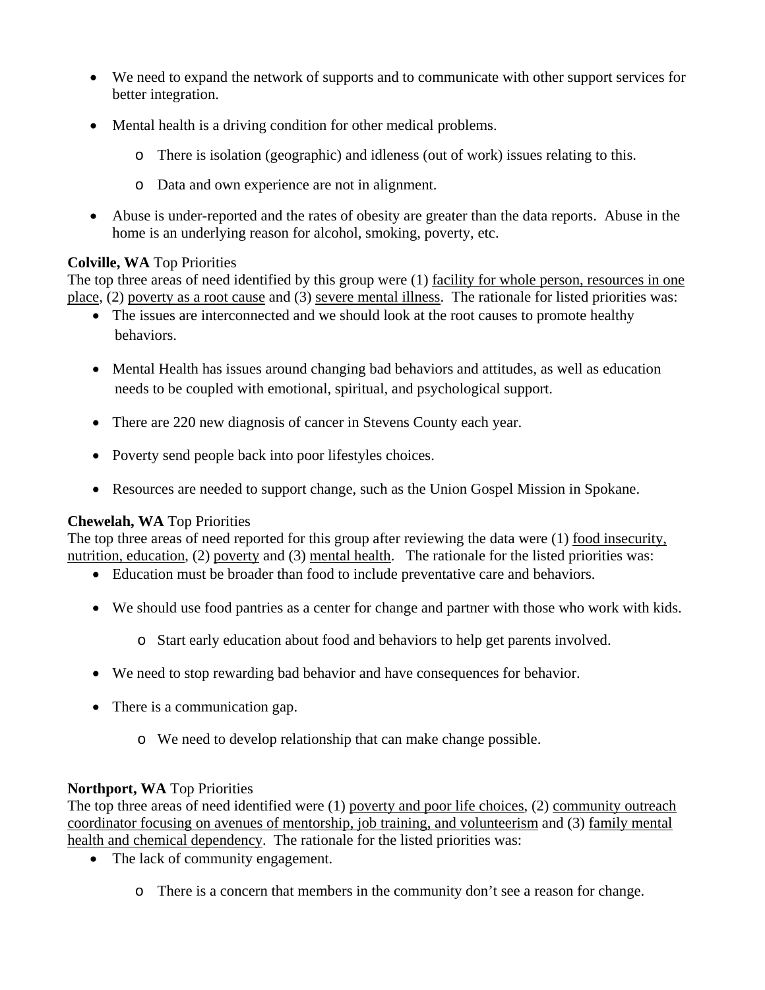- We need to expand the network of supports and to communicate with other support services for better integration.
- Mental health is a driving condition for other medical problems.
	- o There is isolation (geographic) and idleness (out of work) issues relating to this.
	- o Data and own experience are not in alignment.
- Abuse is under-reported and the rates of obesity are greater than the data reports. Abuse in the home is an underlying reason for alcohol, smoking, poverty, etc.

#### **Colville, WA** Top Priorities

The top three areas of need identified by this group were (1) facility for whole person, resources in one place, (2) poverty as a root cause and (3) severe mental illness. The rationale for listed priorities was:

- The issues are interconnected and we should look at the root causes to promote healthy behaviors.
- Mental Health has issues around changing bad behaviors and attitudes, as well as education needs to be coupled with emotional, spiritual, and psychological support.
- There are 220 new diagnosis of cancer in Stevens County each year.
- Poverty send people back into poor lifestyles choices.
- Resources are needed to support change, such as the Union Gospel Mission in Spokane.

#### **Chewelah, WA** Top Priorities

The top three areas of need reported for this group after reviewing the data were (1) food insecurity, nutrition, education, (2) poverty and (3) mental health. The rationale for the listed priorities was:

- Education must be broader than food to include preventative care and behaviors.
- We should use food pantries as a center for change and partner with those who work with kids.
	- o Start early education about food and behaviors to help get parents involved.
- We need to stop rewarding bad behavior and have consequences for behavior.
- There is a communication gap.
	- o We need to develop relationship that can make change possible.

#### **Northport, WA** Top Priorities

The top three areas of need identified were (1) poverty and poor life choices, (2) community outreach coordinator focusing on avenues of mentorship, job training, and volunteerism and (3) family mental health and chemical dependency. The rationale for the listed priorities was:

- The lack of community engagement.
	- o There is a concern that members in the community don't see a reason for change.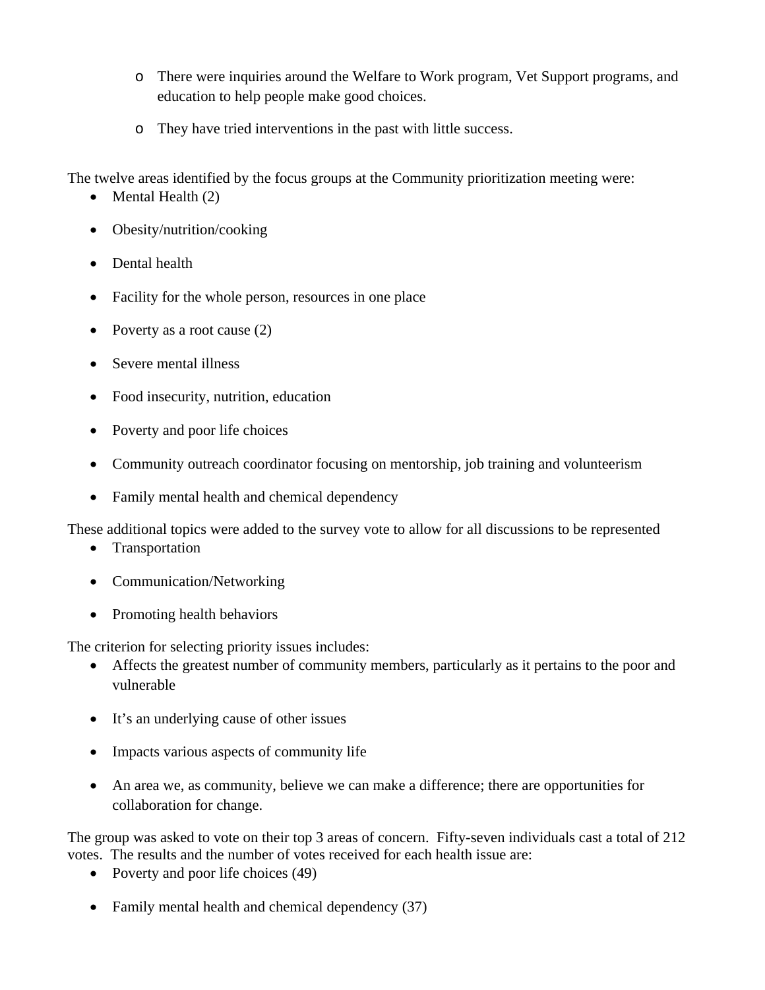- o There were inquiries around the Welfare to Work program, Vet Support programs, and education to help people make good choices.
- o They have tried interventions in the past with little success.

The twelve areas identified by the focus groups at the Community prioritization meeting were:

- $\bullet$  Mental Health (2)
- Obesity/nutrition/cooking
- Dental health
- Facility for the whole person, resources in one place
- Poverty as a root cause  $(2)$
- Severe mental illness
- Food insecurity, nutrition, education
- Poverty and poor life choices
- Community outreach coordinator focusing on mentorship, job training and volunteerism
- Family mental health and chemical dependency

These additional topics were added to the survey vote to allow for all discussions to be represented

- Transportation
- Communication/Networking
- Promoting health behaviors

The criterion for selecting priority issues includes:

- Affects the greatest number of community members, particularly as it pertains to the poor and vulnerable
- It's an underlying cause of other issues
- Impacts various aspects of community life
- An area we, as community, believe we can make a difference; there are opportunities for collaboration for change.

The group was asked to vote on their top 3 areas of concern. Fifty-seven individuals cast a total of 212 votes. The results and the number of votes received for each health issue are:

- Poverty and poor life choices (49)
- Family mental health and chemical dependency (37)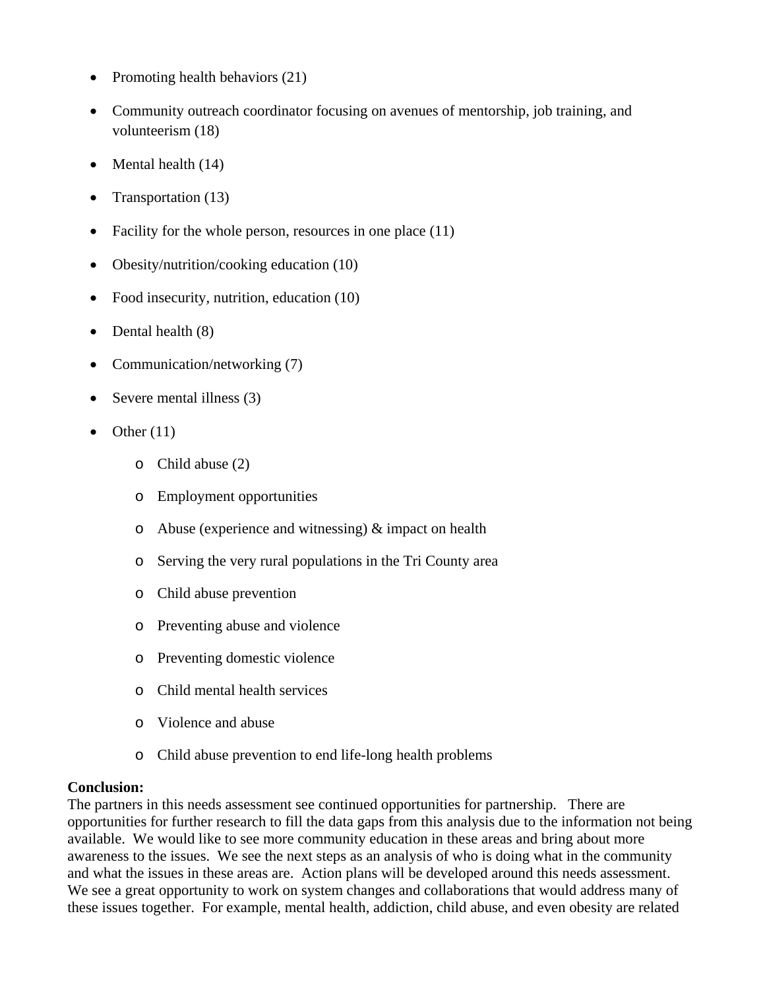- Promoting health behaviors  $(21)$
- Community outreach coordinator focusing on avenues of mentorship, job training, and volunteerism (18)
- Mental health (14)
- Transportation (13)
- Facility for the whole person, resources in one place (11)
- Obesity/nutrition/cooking education (10)
- Food insecurity, nutrition, education (10)
- Dental health  $(8)$
- Communication/networking (7)
- Severe mental illness (3)
- Other (11)
	- o Child abuse (2)
	- o Employment opportunities
	- o Abuse (experience and witnessing)  $&$  impact on health
	- o Serving the very rural populations in the Tri County area
	- o Child abuse prevention
	- o Preventing abuse and violence
	- o Preventing domestic violence
	- o Child mental health services
	- o Violence and abuse
	- o Child abuse prevention to end life-long health problems

#### **Conclusion:**

The partners in this needs assessment see continued opportunities for partnership. There are opportunities for further research to fill the data gaps from this analysis due to the information not being available. We would like to see more community education in these areas and bring about more awareness to the issues. We see the next steps as an analysis of who is doing what in the community and what the issues in these areas are. Action plans will be developed around this needs assessment. We see a great opportunity to work on system changes and collaborations that would address many of these issues together. For example, mental health, addiction, child abuse, and even obesity are related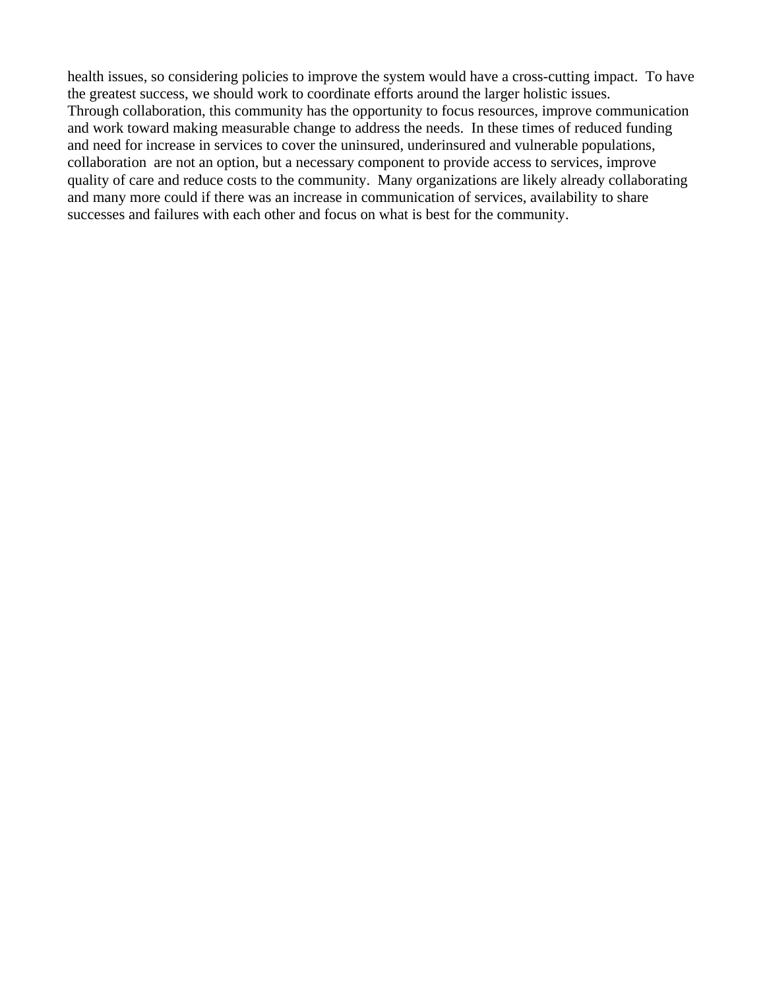health issues, so considering policies to improve the system would have a cross-cutting impact. To have the greatest success, we should work to coordinate efforts around the larger holistic issues. Through collaboration, this community has the opportunity to focus resources, improve communication and work toward making measurable change to address the needs. In these times of reduced funding and need for increase in services to cover the uninsured, underinsured and vulnerable populations, collaboration are not an option, but a necessary component to provide access to services, improve quality of care and reduce costs to the community. Many organizations are likely already collaborating and many more could if there was an increase in communication of services, availability to share successes and failures with each other and focus on what is best for the community.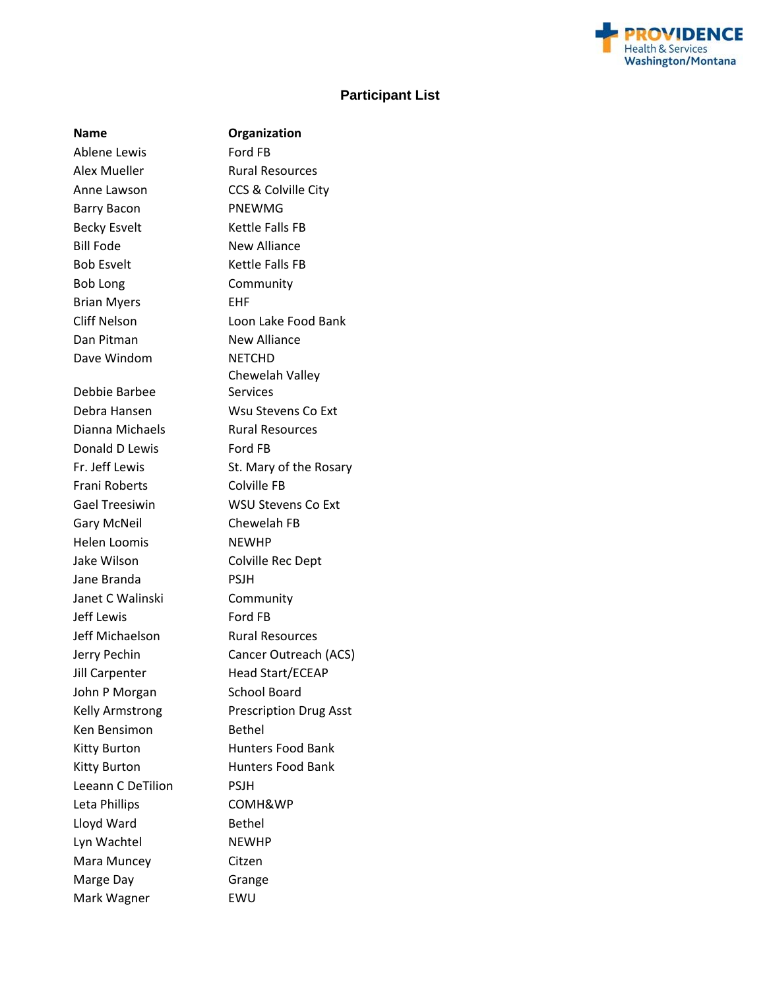

#### **Participant List**

**Organization** 

Ablene Lewis Ford FB Alex Mueller Rural Resources Anne Lawson CCS & Colville City Barry Bacon PNEWMG Becky Esvelt Kettle Falls FB Bill Fode New Alliance Bob Esvelt Kettle Falls FB Bob Long Community Brian Myers **EHF** Dan Pitman New Alliance Dave Windom NETCHD Debbie Barbee Dianna Michaels **Rural Resources** Donald D Lewis Ford FB Frani Roberts Colville FB Gary McNeil Chewelah FB Helen Loomis NEWHP Jake Wilson Colville Rec Dept Jane Branda PSJH Janet C Walinski Community Jeff Lewis Ford FB Jeff Michaelson Rural Resources Jill Carpenter Head Start/ECEAP John P Morgan School Board Ken Bensimon Bethel Leeann C De Tilion PSJH Leta Phillips **COMH&WP** Lloyd Ward Bethel Lyn Wachtel NEWHP Mara Muncey Citzen Marge Day **Grange** Mark Wagner **EWU** 

Cliff Nelson Loon Lake Food Bank Chewelah Valley **Services** Debra Hansen Wsu Stevens Co Ext Fr. Jeff Lewis St. Mary of the Rosary Gael Treesiwin WSU Stevens Co Ext Jerry Pechin Cancer Outreach (ACS) Kelly Armstrong Prescription Drug Asst Kitty Burton Hunters Food Bank Kitty Burton Hunters Food Bank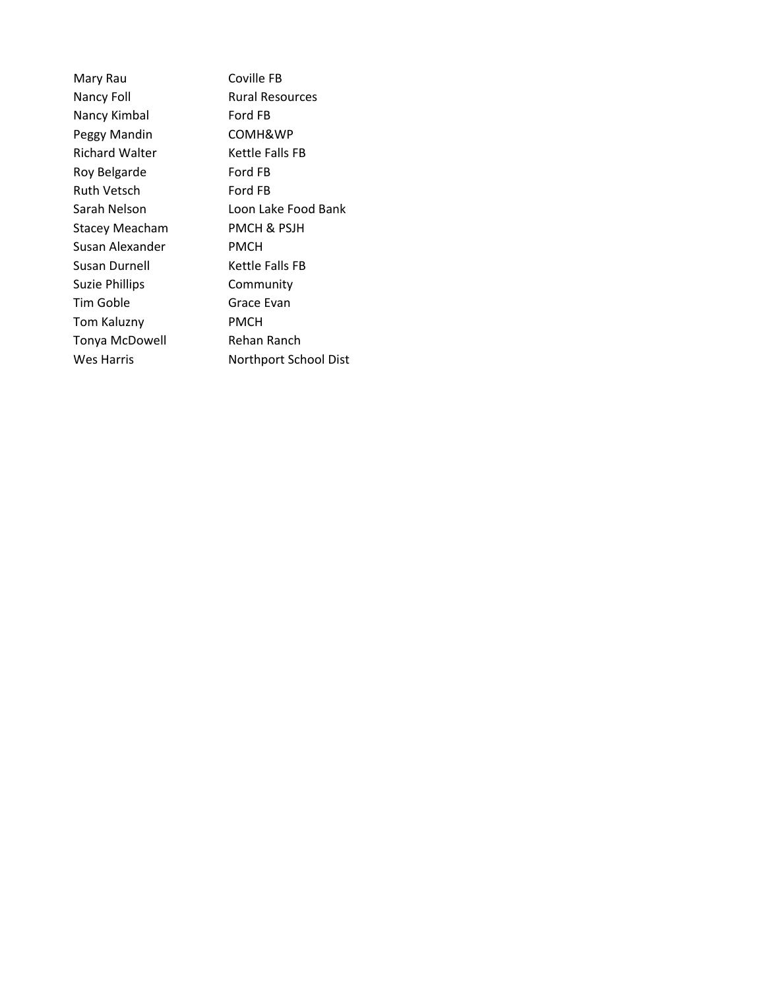| Mary Rau              | Coville I   |
|-----------------------|-------------|
| Nancy Foll            | Rural Re    |
| Nancy Kimbal          | Ford FB     |
| Peggy Mandin          | COMH8       |
| <b>Richard Walter</b> | Kettle F    |
| Roy Belgarde          | Ford FB     |
| <b>Ruth Vetsch</b>    | Ford FB     |
| Sarah Nelson          | Loon La     |
| <b>Stacey Meacham</b> | PMCH &      |
| Susan Alexander       | <b>PMCH</b> |
| Susan Durnell         | Kettle F    |
| <b>Suzie Phillips</b> | Commu       |
| Tim Goble             | Grace E     |
| <b>Tom Kaluzny</b>    | PMCH        |
| Tonya McDowell        | Rehan F     |
| Wes Harris            | Northpo     |
|                       |             |

e FB **Resources** H&WP Falls FB Lake Food Bank & PSJH Falls FB nunity Evan n Ranch port School Dist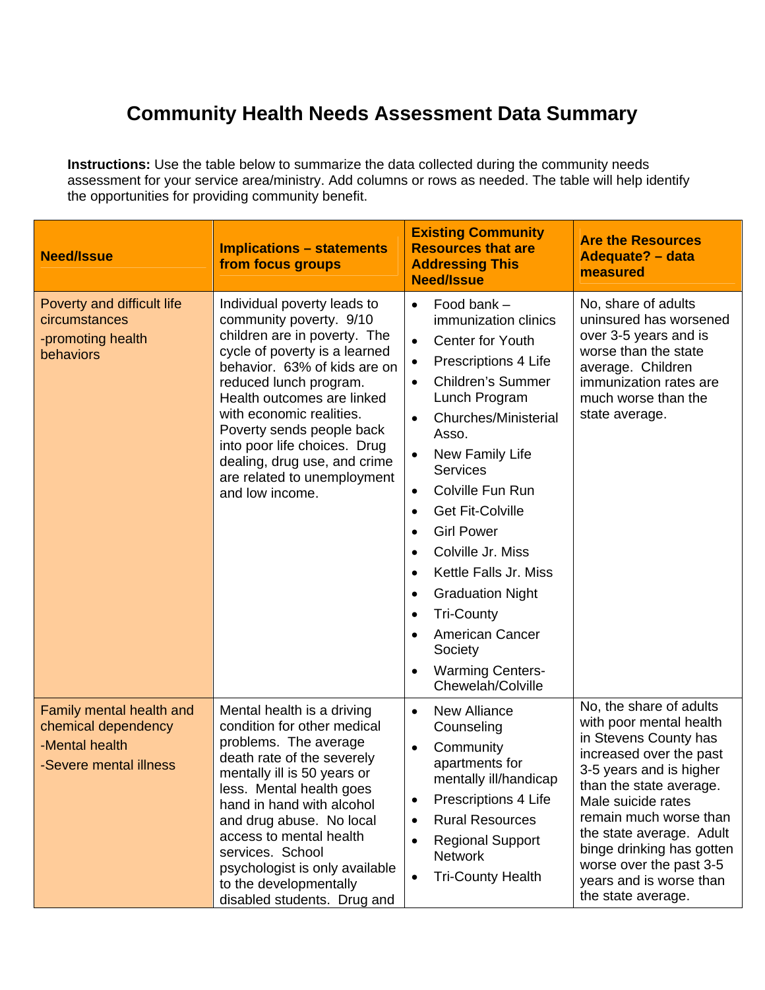# **Community Health Needs Assessment Data Summary**

**Instructions:** Use the table below to summarize the data collected during the community needs assessment for your service area/ministry. Add columns or rows as needed. The table will help identify the opportunities for providing community benefit.

| <b>Need/Issue</b>                                                                           | <b>Implications - statements</b><br>from focus groups                                                                                                                                                                                                                                                                                                                                      | <b>Existing Community</b><br><b>Resources that are</b><br><b>Addressing This</b><br><b>Need/Issue</b>                                                                                                                                                                                                                                                                                                                                                                                                                                                                                                                       | <b>Are the Resources</b><br><b>Adequate? - data</b><br>measured                                                                                                                                                                                                                                                                                   |
|---------------------------------------------------------------------------------------------|--------------------------------------------------------------------------------------------------------------------------------------------------------------------------------------------------------------------------------------------------------------------------------------------------------------------------------------------------------------------------------------------|-----------------------------------------------------------------------------------------------------------------------------------------------------------------------------------------------------------------------------------------------------------------------------------------------------------------------------------------------------------------------------------------------------------------------------------------------------------------------------------------------------------------------------------------------------------------------------------------------------------------------------|---------------------------------------------------------------------------------------------------------------------------------------------------------------------------------------------------------------------------------------------------------------------------------------------------------------------------------------------------|
| Poverty and difficult life<br>circumstances<br>-promoting health<br>behaviors               | Individual poverty leads to<br>community poverty. 9/10<br>children are in poverty. The<br>cycle of poverty is a learned<br>behavior. 63% of kids are on<br>reduced lunch program.<br>Health outcomes are linked<br>with economic realities.<br>Poverty sends people back<br>into poor life choices. Drug<br>dealing, drug use, and crime<br>are related to unemployment<br>and low income. | Food bank -<br>$\bullet$<br>immunization clinics<br>Center for Youth<br>$\bullet$<br>Prescriptions 4 Life<br>$\bullet$<br><b>Children's Summer</b><br>$\bullet$<br>Lunch Program<br>Churches/Ministerial<br>$\bullet$<br>Asso.<br>New Family Life<br>$\bullet$<br><b>Services</b><br>Colville Fun Run<br>$\bullet$<br><b>Get Fit-Colville</b><br>$\bullet$<br><b>Girl Power</b><br>$\bullet$<br>Colville Jr. Miss<br>$\bullet$<br>Kettle Falls Jr. Miss<br>$\bullet$<br><b>Graduation Night</b><br>٠<br><b>Tri-County</b><br>$\bullet$<br><b>American Cancer</b><br>Society<br><b>Warming Centers-</b><br>Chewelah/Colville | No, share of adults<br>uninsured has worsened<br>over 3-5 years and is<br>worse than the state<br>average. Children<br>immunization rates are<br>much worse than the<br>state average.                                                                                                                                                            |
| Family mental health and<br>chemical dependency<br>-Mental health<br>-Severe mental illness | Mental health is a driving<br>condition for other medical<br>problems. The average<br>death rate of the severely<br>mentally ill is 50 years or<br>less. Mental health goes<br>hand in hand with alcohol<br>and drug abuse. No local<br>access to mental health<br>services. School<br>psychologist is only available<br>to the developmentally<br>disabled students. Drug and             | New Alliance<br>$\bullet$<br>Counseling<br>Community<br>$\bullet$<br>apartments for<br>mentally ill/handicap<br>Prescriptions 4 Life<br><b>Rural Resources</b><br>٠<br><b>Regional Support</b><br><b>Network</b><br><b>Tri-County Health</b><br>$\bullet$                                                                                                                                                                                                                                                                                                                                                                   | No, the share of adults<br>with poor mental health<br>in Stevens County has<br>increased over the past<br>3-5 years and is higher<br>than the state average.<br>Male suicide rates<br>remain much worse than<br>the state average. Adult<br>binge drinking has gotten<br>worse over the past 3-5<br>years and is worse than<br>the state average. |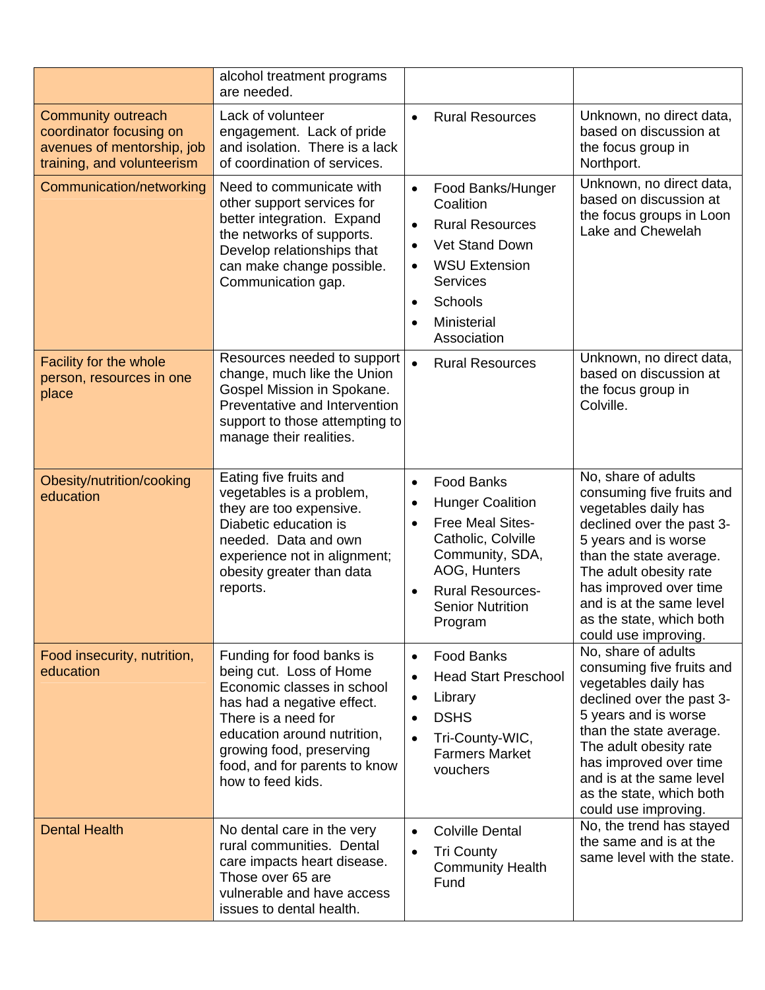|                                                                                                                  | alcohol treatment programs<br>are needed.                                                                                                                                                                                                                |                                                                                                                                                                                                                                                       |                                                                                                                                                                                                                                                                                              |
|------------------------------------------------------------------------------------------------------------------|----------------------------------------------------------------------------------------------------------------------------------------------------------------------------------------------------------------------------------------------------------|-------------------------------------------------------------------------------------------------------------------------------------------------------------------------------------------------------------------------------------------------------|----------------------------------------------------------------------------------------------------------------------------------------------------------------------------------------------------------------------------------------------------------------------------------------------|
| <b>Community outreach</b><br>coordinator focusing on<br>avenues of mentorship, job<br>training, and volunteerism | Lack of volunteer<br>engagement. Lack of pride<br>and isolation. There is a lack<br>of coordination of services.                                                                                                                                         | <b>Rural Resources</b>                                                                                                                                                                                                                                | Unknown, no direct data,<br>based on discussion at<br>the focus group in<br>Northport.                                                                                                                                                                                                       |
| Communication/networking                                                                                         | Need to communicate with<br>other support services for<br>better integration. Expand<br>the networks of supports.<br>Develop relationships that<br>can make change possible.<br>Communication gap.                                                       | Food Banks/Hunger<br>$\bullet$<br>Coalition<br><b>Rural Resources</b><br>$\bullet$<br><b>Vet Stand Down</b><br>$\bullet$<br><b>WSU Extension</b><br>$\bullet$<br><b>Services</b><br>Schools<br>$\bullet$<br>Ministerial<br>$\bullet$<br>Association   | Unknown, no direct data,<br>based on discussion at<br>the focus groups in Loon<br>Lake and Chewelah                                                                                                                                                                                          |
| Facility for the whole<br>person, resources in one<br>place                                                      | Resources needed to support<br>change, much like the Union<br>Gospel Mission in Spokane.<br>Preventative and Intervention<br>support to those attempting to<br>manage their realities.                                                                   | <b>Rural Resources</b><br>$\bullet$                                                                                                                                                                                                                   | Unknown, no direct data,<br>based on discussion at<br>the focus group in<br>Colville.                                                                                                                                                                                                        |
| Obesity/nutrition/cooking<br>education                                                                           | Eating five fruits and<br>vegetables is a problem,<br>they are too expensive.<br>Diabetic education is<br>needed. Data and own<br>experience not in alignment;<br>obesity greater than data<br>reports.                                                  | <b>Food Banks</b><br>$\bullet$<br><b>Hunger Coalition</b><br>$\bullet$<br><b>Free Meal Sites-</b><br>$\bullet$<br>Catholic, Colville<br>Community, SDA,<br>AOG, Hunters<br><b>Rural Resources-</b><br>$\bullet$<br><b>Senior Nutrition</b><br>Program | No, share of adults<br>consuming five fruits and<br>vegetables daily has<br>declined over the past 3-<br>5 years and is worse<br>than the state average.<br>The adult obesity rate<br>has improved over time<br>and is at the same level<br>as the state, which both<br>could use improving. |
| Food insecurity, nutrition,<br>education                                                                         | Funding for food banks is<br>being cut. Loss of Home<br>Economic classes in school<br>has had a negative effect.<br>There is a need for<br>education around nutrition,<br>growing food, preserving<br>food, and for parents to know<br>how to feed kids. | <b>Food Banks</b><br>$\bullet$<br><b>Head Start Preschool</b><br>$\bullet$<br>Library<br>$\bullet$<br><b>DSHS</b><br>$\bullet$<br>Tri-County-WIC,<br>$\bullet$<br><b>Farmers Market</b><br>vouchers                                                   | No, share of adults<br>consuming five fruits and<br>vegetables daily has<br>declined over the past 3-<br>5 years and is worse<br>than the state average.<br>The adult obesity rate<br>has improved over time<br>and is at the same level<br>as the state, which both<br>could use improving. |
| <b>Dental Health</b>                                                                                             | No dental care in the very<br>rural communities. Dental<br>care impacts heart disease.<br>Those over 65 are<br>vulnerable and have access<br>issues to dental health.                                                                                    | <b>Colville Dental</b><br>$\bullet$<br><b>Tri County</b><br>$\bullet$<br><b>Community Health</b><br>Fund                                                                                                                                              | No, the trend has stayed<br>the same and is at the<br>same level with the state.                                                                                                                                                                                                             |